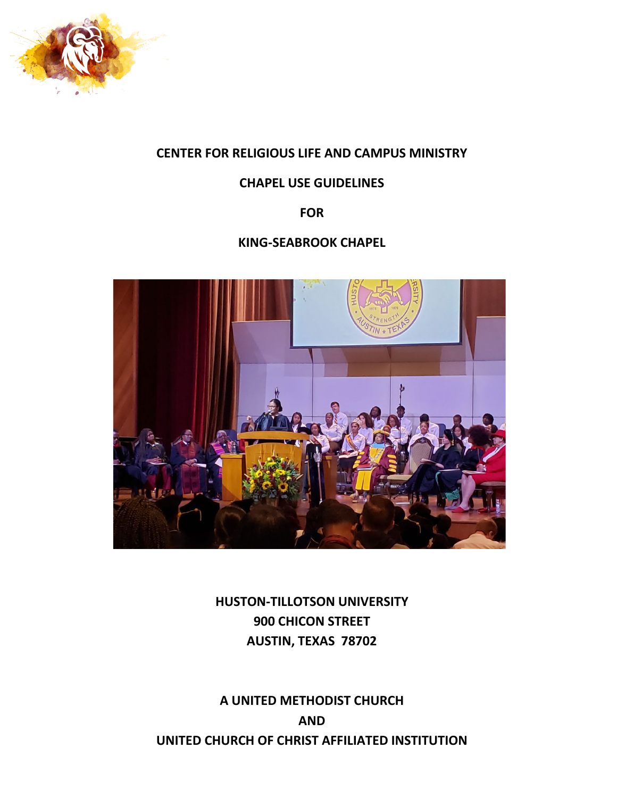

## **CENTER FOR RELIGIOUS LIFE AND CAMPUS MINISTRY**

## **CHAPEL USE GUIDELINES**

**FOR**

## **KING-SEABROOK CHAPEL**



**HUSTON-TILLOTSON UNIVERSITY 900 CHICON STREET AUSTIN, TEXAS 78702**

**A UNITED METHODIST CHURCH AND UNITED CHURCH OF CHRIST AFFILIATED INSTITUTION**